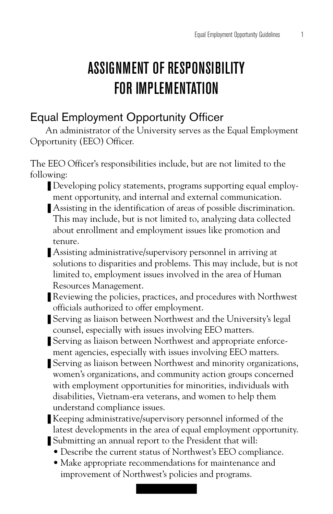# ASSIGNMENT OF RESPONSIBILITY FOR IMPLEMENTATION

## Equal Employment Opportunity Officer

An administrator of the University serves as the Equal Employment Opportunity (EEO) Officer.

The EEO Officer's responsibilities include, but are not limited to the following:

- Developing policy statements, programs supporting equal employment opportunity, and internal and external communication.
- Assisting in the identification of areas of possible discrimination. This may include, but is not limited to, analyzing data collected about enrollment and employment issues like promotion and tenure.
- Assisting administrative/supervisory personnel in arriving at solutions to disparities and problems. This may include, but is not limited to, employment issues involved in the area of Human Resources Management.
- Reviewing the policies, practices, and procedures with Northwest officials authorized to offer employment.
- Serving as liaison between Northwest and the University's legal counsel, especially with issues involving EEO matters.
- Serving as liaison between Northwest and appropriate enforcement agencies, especially with issues involving EEO matters.
- Serving as liaison between Northwest and minority organizations, women's organizations, and community action groups concerned with employment opportunities for minorities, individuals with disabilities, Vietnam-era veterans, and women to help them understand compliance issues.
- Keeping administrative/supervisory personnel informed of the latest developments in the area of equal employment opportunity.
- Submitting an annual report to the President that will:
	- Describe the current status of Northwest's EEO compliance.
	- Make appropriate recommendations for maintenance and improvement of Northwest's policies and programs.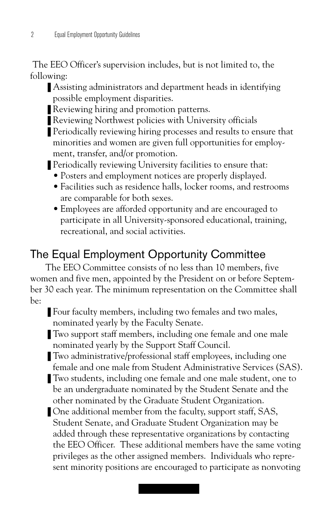The EEO Officer's supervision includes, but is not limited to, the following:

- Assisting administrators and department heads in identifying possible employment disparities.
- Reviewing hiring and promotion patterns.
- Reviewing Northwest policies with University officials
- Periodically reviewing hiring processes and results to ensure that minorities and women are given full opportunities for employment, transfer, and/or promotion.
- Periodically reviewing University facilities to ensure that:
	- Posters and employment notices are properly displayed.
	- Facilities such as residence halls, locker rooms, and restrooms are comparable for both sexes.
	- Employees are afforded opportunity and are encouraged to participate in all University-sponsored educational, training, recreational, and social activities.

## The Equal Employment Opportunity Committee

The EEO Committee consists of no less than 10 members, five women and five men, appointed by the President on or before September 30 each year. The minimum representation on the Committee shall be:

- Four faculty members, including two females and two males, nominated yearly by the Faculty Senate.
- Two support staff members, including one female and one male nominated yearly by the Support Staff Council.
- Two administrative/professional staff employees, including one female and one male from Student Administrative Services (SAS).
- Two students, including one female and one male student, one to be an undergraduate nominated by the Student Senate and the other nominated by the Graduate Student Organization.
- One additional member from the faculty, support staff, SAS, Student Senate, and Graduate Student Organization may be added through these representative organizations by contacting the EEO Officer. These additional members have the same voting privileges as the other assigned members. Individuals who represent minority positions are encouraged to participate as nonvoting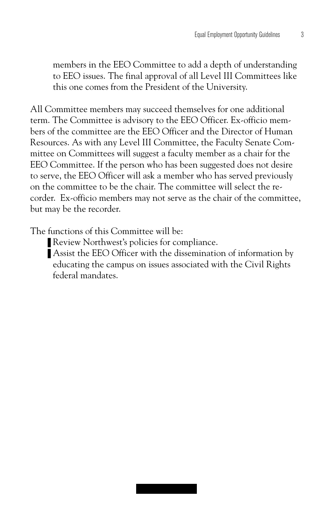members in the EEO Committee to add a depth of understanding to EEO issues. The final approval of all Level III Committees like this one comes from the President of the University.

All Committee members may succeed themselves for one additional term. The Committee is advisory to the EEO Officer. Ex-officio members of the committee are the EEO Officer and the Director of Human Resources. As with any Level III Committee, the Faculty Senate Committee on Committees will suggest a faculty member as a chair for the EEO Committee. If the person who has been suggested does not desire to serve, the EEO Officer will ask a member who has served previously on the committee to be the chair. The committee will select the recorder. Ex-officio members may not serve as the chair of the committee, but may be the recorder.

The functions of this Committee will be:

- Review Northwest's policies for compliance.
- Assist the EEO Officer with the dissemination of information by educating the campus on issues associated with the Civil Rights federal mandates.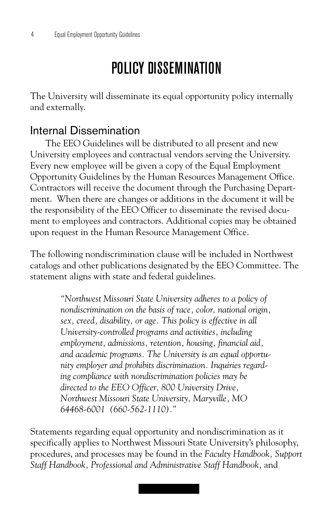# POLICY DISSEMINATION

The University will disseminate its equal opportunity policy internally and externally.

### Internal Dissemination

The EEO Guidelines will be distributed to all present and new University employees and contractual vendors serving the University. Every new employee will be given a copy of the Equal Employment Opportunity Guidelines by the Human Resources Management Office. Contractors will receive the document through the Purchasing Department. When there are changes or additions in the document it will be the responsibility of the EEO Officer to disseminate the revised document to employees and contractors. Additional copies may be obtained upon request in the Human Resource Management Office.

The following nondiscrimination clause will be included in Northwest catalogs and other publications designated by the EEO Committee. The statement aligns with state and federal guidelines.

> *"Northwest Missouri State University adheres to a policy of nondiscrimination on the basis of race, color, national origin, sex, creed, disability, or age. This policy is effective in all University-controlled programs and activities, including employment, admissions, retention, housing, financial aid, and academic programs. The University is an equal opportunity employer and prohibits discrimination. Inquiries regarding compliance with nondiscrimination policies may be directed to the EEO Officer, 800 University Drive, Northwest Missouri State University, Maryville, MO 64468-6001 (660-562-1110)."*

Statements regarding equal opportunity and nondiscrimination as it specifically applies to Northwest Missouri State University's philosophy, procedures, and processes may be found in the *Faculty Handbook, Support Staff Handbook, Professional and Administrative Staff Handbook,* and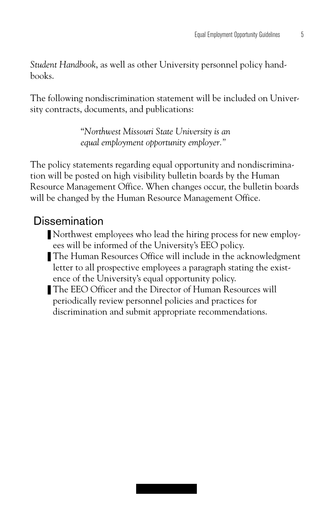*Student Handbook*, as well as other University personnel policy handbooks.

The following nondiscrimination statement will be included on University contracts, documents, and publications:

> "*Northwest Missouri State University is an equal employment opportunity employer."*

The policy statements regarding equal opportunity and nondiscrimination will be posted on high visibility bulletin boards by the Human Resource Management Office. When changes occur, the bulletin boards will be changed by the Human Resource Management Office.

### **Dissemination**

- Northwest employees who lead the hiring process for new employees will be informed of the University's EEO policy.
- The Human Resources Office will include in the acknowledgment letter to all prospective employees a paragraph stating the existence of the University's equal opportunity policy.
- The EEO Officer and the Director of Human Resources will periodically review personnel policies and practices for discrimination and submit appropriate recommendations.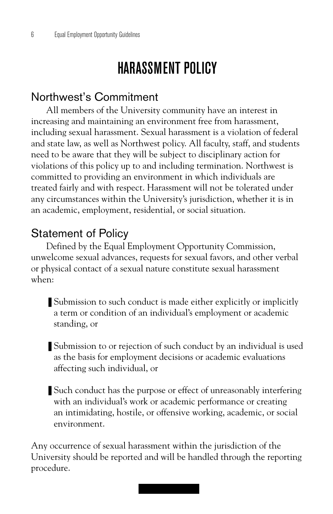# HARASSMENT POLICY

## Northwest's Commitment

All members of the University community have an interest in increasing and maintaining an environment free from harassment, including sexual harassment. Sexual harassment is a violation of federal and state law, as well as Northwest policy. All faculty, staff, and students need to be aware that they will be subject to disciplinary action for violations of this policy up to and including termination. Northwest is committed to providing an environment in which individuals are treated fairly and with respect. Harassment will not be tolerated under any circumstances within the University's jurisdiction, whether it is in an academic, employment, residential, or social situation.

## Statement of Policy

Defined by the Equal Employment Opportunity Commission, unwelcome sexual advances, requests for sexual favors, and other verbal or physical contact of a sexual nature constitute sexual harassment when:

- Submission to such conduct is made either explicitly or implicitly a term or condition of an individual's employment or academic standing, or
- Submission to or rejection of such conduct by an individual is used as the basis for employment decisions or academic evaluations affecting such individual, or
- Such conduct has the purpose or effect of unreasonably interfering with an individual's work or academic performance or creating an intimidating, hostile, or offensive working, academic, or social environment.

Any occurrence of sexual harassment within the jurisdiction of the University should be reported and will be handled through the reporting procedure.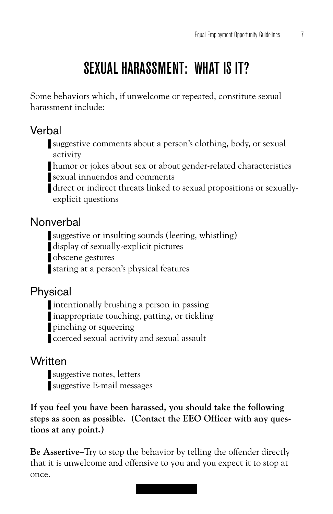# SEXUAL HARASSMENT: WHAT IS IT?

Some behaviors which, if unwelcome or repeated, constitute sexual harassment include:

## Verbal

- suggestive comments about a person's clothing, body, or sexual activity
- humor or jokes about sex or about gender-related characteristics
- ❚ sexual innuendos and comments
- direct or indirect threats linked to sexual propositions or sexuallyexplicit questions

## Nonverbal

- suggestive or insulting sounds (leering, whistling)
- display of sexually-explicit pictures
- obscene gestures
- staring at a person's physical features

## Physical

- **■** intentionally brushing a person in passing
- inappropriate touching, patting, or tickling
- pinching or squeezing
- coerced sexual activity and sexual assault

### **Written**

- suggestive notes, letters
- suggestive E-mail messages

**If you feel you have been harassed, you should take the following steps as soon as possible. (Contact the EEO Officer with any questions at any point.)**

**Be Assertive–**Try to stop the behavior by telling the offender directly that it is unwelcome and offensive to you and you expect it to stop at once.

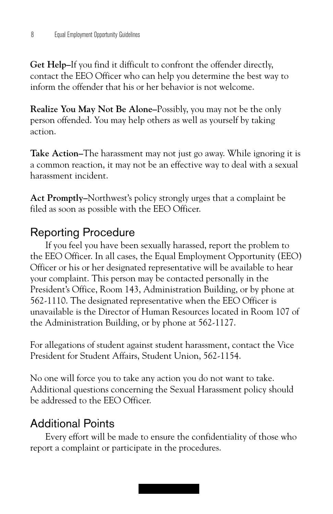**Get Help–**If you find it difficult to confront the offender directly, contact the EEO Officer who can help you determine the best way to inform the offender that his or her behavior is not welcome.

**Realize You May Not Be Alone–**Possibly, you may not be the only person offended. You may help others as well as yourself by taking action.

**Take Action–**The harassment may not just go away. While ignoring it is a common reaction, it may not be an effective way to deal with a sexual harassment incident.

**Act Promptly–**Northwest's policy strongly urges that a complaint be filed as soon as possible with the EEO Officer.

### Reporting Procedure

If you feel you have been sexually harassed, report the problem to the EEO Officer. In all cases, the Equal Employment Opportunity (EEO) Officer or his or her designated representative will be available to hear your complaint. This person may be contacted personally in the President's Office, Room 143, Administration Building, or by phone at 562-1110. The designated representative when the EEO Officer is unavailable is the Director of Human Resources located in Room 107 of the Administration Building, or by phone at 562-1127.

For allegations of student against student harassment, contact the Vice President for Student Affairs, Student Union, 562-1154.

No one will force you to take any action you do not want to take. Additional questions concerning the Sexual Harassment policy should be addressed to the EEO Officer.

## Additional Points

Every effort will be made to ensure the confidentiality of those who report a complaint or participate in the procedures.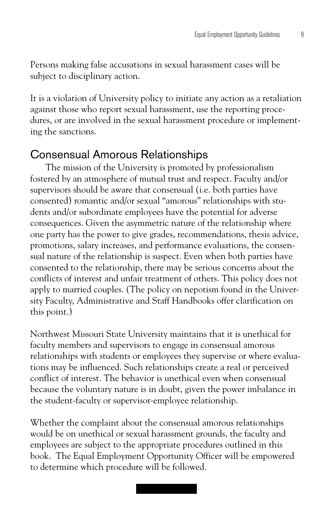Persons making false accusations in sexual harassment cases will be subject to disciplinary action.

It is a violation of University policy to initiate any action as a retaliation against those who report sexual harassment, use the reporting procedures, or are involved in the sexual harassment procedure or implementing the sanctions.

#### Consensual Amorous Relationships

The mission of the University is promoted by professionalism fostered by an atmosphere of mutual trust and respect. Faculty and/or supervisors should be aware that consensual (i.e. both parties have consented) romantic and/or sexual "amorous" relationships with students and/or subordinate employees have the potential for adverse consequences. Given the asymmetric nature of the relationship where one party has the power to give grades, recommendations, thesis advice, promotions, salary increases, and performance evaluations, the consensual nature of the relationship is suspect. Even when both parties have consented to the relationship, there may be serious concerns about the conflicts of interest and unfair treatment of others. This policy does not apply to married couples. (The policy on nepotism found in the University Faculty, Administrative and Staff Handbooks offer clarification on this point.)

Northwest Missouri State University maintains that it is unethical for faculty members and supervisors to engage in consensual amorous relationships with students or employees they supervise or where evaluations may be influenced. Such relationships create a real or perceived conflict of interest. The behavior is unethical even when consensual because the voluntary nature is in doubt, given the power imbalance in the student-faculty or supervisor-employee relationship.

Whether the complaint about the consensual amorous relationships would be on unethical or sexual harassment grounds, the faculty and employees are subject to the appropriate procedures outlined in this book. The Equal Employment Opportunity Officer will be empowered to determine which procedure will be followed.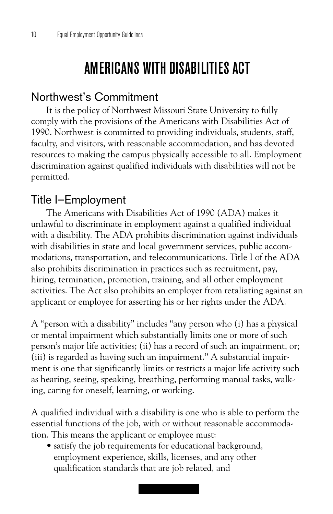# AMERICANS WITH DISABILITIES ACT

#### Northwest's Commitment

It is the policy of Northwest Missouri State University to fully comply with the provisions of the Americans with Disabilities Act of 1990. Northwest is committed to providing individuals, students, staff, faculty, and visitors, with reasonable accommodation, and has devoted resources to making the campus physically accessible to all. Employment discrimination against qualified individuals with disabilities will not be permitted.

#### Title I–Employment

The Americans with Disabilities Act of 1990 (ADA) makes it unlawful to discriminate in employment against a qualified individual with a disability. The ADA prohibits discrimination against individuals with disabilities in state and local government services, public accommodations, transportation, and telecommunications. Title I of the ADA also prohibits discrimination in practices such as recruitment, pay, hiring, termination, promotion, training, and all other employment activities. The Act also prohibits an employer from retaliating against an applicant or employee for asserting his or her rights under the ADA.

A "person with a disability" includes "any person who (i) has a physical or mental impairment which substantially limits one or more of such person's major life activities; (ii) has a record of such an impairment, or; (iii) is regarded as having such an impairment." A substantial impairment is one that significantly limits or restricts a major life activity such as hearing, seeing, speaking, breathing, performing manual tasks, walking, caring for oneself, learning, or working.

A qualified individual with a disability is one who is able to perform the essential functions of the job, with or without reasonable accommodation. This means the applicant or employee must:

• satisfy the job requirements for educational background, employment experience, skills, licenses, and any other qualification standards that are job related, and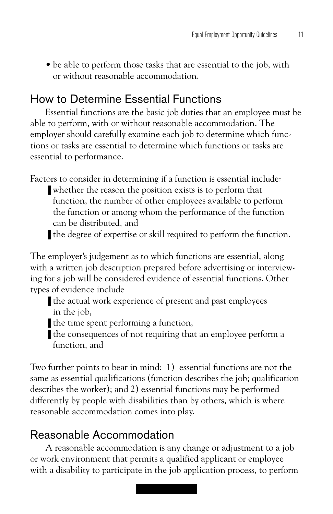• be able to perform those tasks that are essential to the job, with or without reasonable accommodation.

## How to Determine Essential Functions

Essential functions are the basic job duties that an employee must be able to perform, with or without reasonable accommodation. The employer should carefully examine each job to determine which functions or tasks are essential to determine which functions or tasks are essential to performance.

Factors to consider in determining if a function is essential include:

- whether the reason the position exists is to perform that function, the number of other employees available to perform the function or among whom the performance of the function can be distributed, and
- the degree of expertise or skill required to perform the function.

The employer's judgement as to which functions are essential, along with a written job description prepared before advertising or interviewing for a job will be considered evidence of essential functions. Other types of evidence include

- the actual work experience of present and past employees in the job,
- the time spent performing a function,
- the consequences of not requiring that an employee perform a function, and

Two further points to bear in mind: 1) essential functions are not the same as essential qualifications (function describes the job; qualification describes the worker); and 2) essential functions may be performed differently by people with disabilities than by others, which is where reasonable accommodation comes into play.

## Reasonable Accommodation

A reasonable accommodation is any change or adjustment to a job or work environment that permits a qualified applicant or employee with a disability to participate in the job application process, to perform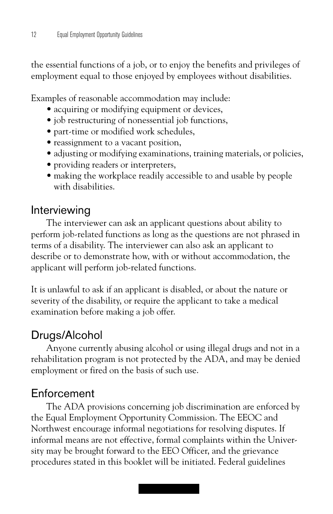the essential functions of a job, or to enjoy the benefits and privileges of employment equal to those enjoyed by employees without disabilities.

Examples of reasonable accommodation may include:

- acquiring or modifying equipment or devices,
- job restructuring of nonessential job functions,
- part-time or modified work schedules,
- reassignment to a vacant position,
- adjusting or modifying examinations, training materials, or policies,
- providing readers or interpreters,
- making the workplace readily accessible to and usable by people with disabilities.

### Interviewing

The interviewer can ask an applicant questions about ability to perform job-related functions as long as the questions are not phrased in terms of a disability. The interviewer can also ask an applicant to describe or to demonstrate how, with or without accommodation, the applicant will perform job-related functions.

It is unlawful to ask if an applicant is disabled, or about the nature or severity of the disability, or require the applicant to take a medical examination before making a job offer.

## Drugs/Alcohol

Anyone currently abusing alcohol or using illegal drugs and not in a rehabilitation program is not protected by the ADA, and may be denied employment or fired on the basis of such use.

## Enforcement

The ADA provisions concerning job discrimination are enforced by the Equal Employment Opportunity Commission. The EEOC and Northwest encourage informal negotiations for resolving disputes. If informal means are not effective, formal complaints within the University may be brought forward to the EEO Officer, and the grievance procedures stated in this booklet will be initiated. Federal guidelines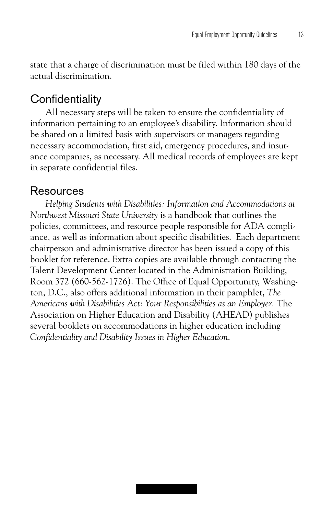state that a charge of discrimination must be filed within 180 days of the actual discrimination.

### **Confidentiality**

All necessary steps will be taken to ensure the confidentiality of information pertaining to an employee's disability. Information should be shared on a limited basis with supervisors or managers regarding necessary accommodation, first aid, emergency procedures, and insurance companies, as necessary. All medical records of employees are kept in separate confidential files.

#### Resources

*Helping Students with Disabilities: Information and Accommodations at Northwest Missouri State University* is a handbook that outlines the policies, committees, and resource people responsible for ADA compliance, as well as information about specific disabilities. Each department chairperson and administrative director has been issued a copy of this booklet for reference. Extra copies are available through contacting the Talent Development Center located in the Administration Building, Room 372 (660-562-1726). The Office of Equal Opportunity, Washington, D.C., also offers additional information in their pamphlet, *The Americans with Disabilities Act: Your Responsibilities as an Employer.* The Association on Higher Education and Disability (AHEAD) publishes several booklets on accommodations in higher education including *Confidentiality and Disability Issues in Higher Education*.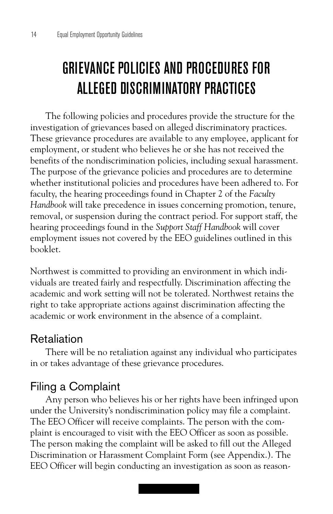# GRIEVANCE POLICIES AND PROCEDURES FOR ALLEGED DISCRIMINATORY PRACTICES

The following policies and procedures provide the structure for the investigation of grievances based on alleged discriminatory practices. These grievance procedures are available to any employee, applicant for employment, or student who believes he or she has not received the benefits of the nondiscrimination policies, including sexual harassment. The purpose of the grievance policies and procedures are to determine whether institutional policies and procedures have been adhered to. For faculty, the hearing proceedings found in Chapter 2 of the *Faculty Handbook* will take precedence in issues concerning promotion, tenure, removal, or suspension during the contract period. For support staff, the hearing proceedings found in the *Support Staff Handbook* will cover employment issues not covered by the EEO guidelines outlined in this booklet.

Northwest is committed to providing an environment in which individuals are treated fairly and respectfully. Discrimination affecting the academic and work setting will not be tolerated. Northwest retains the right to take appropriate actions against discrimination affecting the academic or work environment in the absence of a complaint.

#### Retaliation

There will be no retaliation against any individual who participates in or takes advantage of these grievance procedures.

#### Filing a Complaint

Any person who believes his or her rights have been infringed upon under the University's nondiscrimination policy may file a complaint. The EEO Officer will receive complaints. The person with the complaint is encouraged to visit with the EEO Officer as soon as possible. The person making the complaint will be asked to fill out the Alleged Discrimination or Harassment Complaint Form (see Appendix.). The EEO Officer will begin conducting an investigation as soon as reason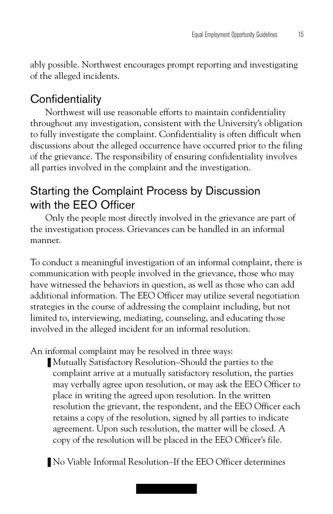ably possible. Northwest encourages prompt reporting and investigating of the alleged incidents.

## **Confidentiality**

Northwest will use reasonable efforts to maintain confidentiality throughout any investigation, consistent with the University's obligation to fully investigate the complaint. Confidentiality is often difficult when discussions about the alleged occurrence have occurred prior to the filing of the grievance. The responsibility of ensuring confidentiality involves all parties involved in the complaint and the investigation.

## Starting the Complaint Process by Discussion with the EEO Officer

Only the people most directly involved in the grievance are part of the investigation process. Grievances can be handled in an informal manner.

To conduct a meaningful investigation of an informal complaint, there is communication with people involved in the grievance, those who may have witnessed the behaviors in question, as well as those who can add additional information. The EEO Officer may utilize several negotiation strategies in the course of addressing the complaint including, but not limited to, interviewing, mediating, counseling, and educating those involved in the alleged incident for an informal resolution.

An informal complaint may be resolved in three ways:

- Mutually Satisfactory Resolution–Should the parties to the complaint arrive at a mutually satisfactory resolution, the parties may verbally agree upon resolution, or may ask the EEO Officer to place in writing the agreed upon resolution. In the written resolution the grievant, the respondent, and the EEO Officer each retains a copy of the resolution, signed by all parties to indicate agreement. Upon such resolution, the matter will be closed. A copy of the resolution will be placed in the EEO Officer's file.
- No Viable Informal Resolution–If the EEO Officer determines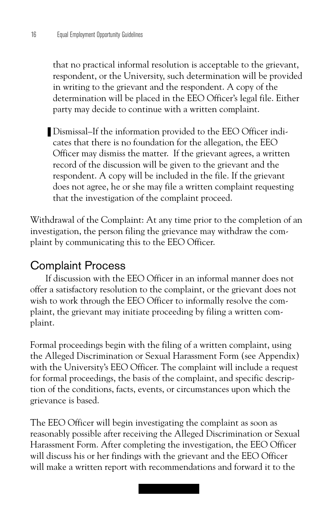that no practical informal resolution is acceptable to the grievant, respondent, or the University, such determination will be provided in writing to the grievant and the respondent. A copy of the determination will be placed in the EEO Officer's legal file. Either party may decide to continue with a written complaint.

■ Dismissal–If the information provided to the EEO Officer indicates that there is no foundation for the allegation, the EEO Officer may dismiss the matter. If the grievant agrees, a written record of the discussion will be given to the grievant and the respondent. A copy will be included in the file. If the grievant does not agree, he or she may file a written complaint requesting that the investigation of the complaint proceed.

Withdrawal of the Complaint: At any time prior to the completion of an investigation, the person filing the grievance may withdraw the complaint by communicating this to the EEO Officer.

#### Complaint Process

If discussion with the EEO Officer in an informal manner does not offer a satisfactory resolution to the complaint, or the grievant does not wish to work through the EEO Officer to informally resolve the complaint, the grievant may initiate proceeding by filing a written complaint.

Formal proceedings begin with the filing of a written complaint, using the Alleged Discrimination or Sexual Harassment Form (see Appendix) with the University's EEO Officer. The complaint will include a request for formal proceedings, the basis of the complaint, and specific description of the conditions, facts, events, or circumstances upon which the grievance is based.

The EEO Officer will begin investigating the complaint as soon as reasonably possible after receiving the Alleged Discrimination or Sexual Harassment Form. After completing the investigation, the EEO Officer will discuss his or her findings with the grievant and the EEO Officer will make a written report with recommendations and forward it to the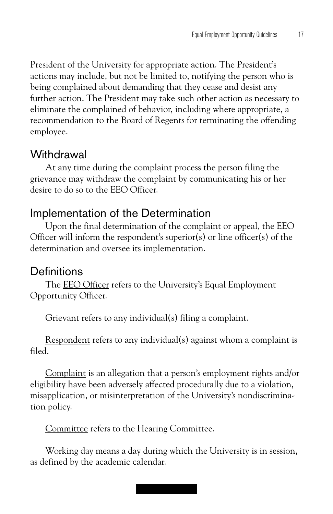President of the University for appropriate action. The President's actions may include, but not be limited to, notifying the person who is being complained about demanding that they cease and desist any further action. The President may take such other action as necessary to eliminate the complained of behavior, including where appropriate, a recommendation to the Board of Regents for terminating the offending employee.

#### **Withdrawal**

At any time during the complaint process the person filing the grievance may withdraw the complaint by communicating his or her desire to do so to the EEO Officer.

### Implementation of the Determination

Upon the final determination of the complaint or appeal, the EEO Officer will inform the respondent's superior(s) or line officer(s) of the determination and oversee its implementation.

#### **Definitions**

The EEO Officer refers to the University's Equal Employment Opportunity Officer.

Grievant refers to any individual(s) filing a complaint.

Respondent refers to any individual(s) against whom a complaint is filed.

Complaint is an allegation that a person's employment rights and/or eligibility have been adversely affected procedurally due to a violation, misapplication, or misinterpretation of the University's nondiscrimination policy.

Committee refers to the Hearing Committee.

Working day means a day during which the University is in session, as defined by the academic calendar.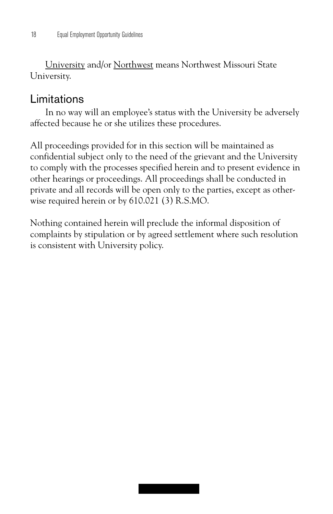University and/or Northwest means Northwest Missouri State University.

### Limitations

In no way will an employee's status with the University be adversely affected because he or she utilizes these procedures.

All proceedings provided for in this section will be maintained as confidential subject only to the need of the grievant and the University to comply with the processes specified herein and to present evidence in other hearings or proceedings. All proceedings shall be conducted in private and all records will be open only to the parties, except as otherwise required herein or by 610.021 (3) R.S.MO.

Nothing contained herein will preclude the informal disposition of complaints by stipulation or by agreed settlement where such resolution is consistent with University policy.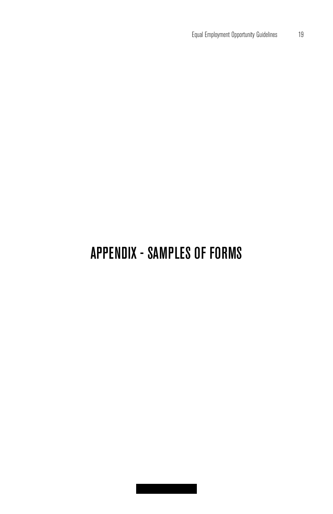# APPENDIX - SAMPLES OF FORMS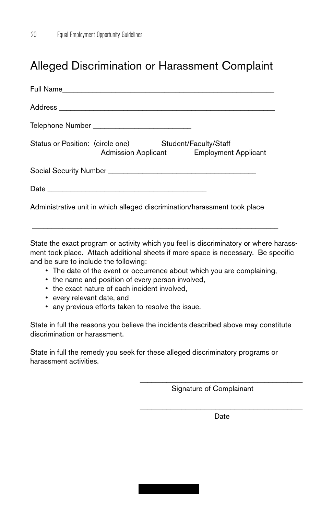## Alleged Discrimination or Harassment Complaint

|                                                                           | Telephone Number ________________________________                                                  |  |  |  |  |  |
|---------------------------------------------------------------------------|----------------------------------------------------------------------------------------------------|--|--|--|--|--|
|                                                                           | Status or Position: (circle one) Student/Faculty/Staff<br>Admission Applicant Employment Applicant |  |  |  |  |  |
|                                                                           |                                                                                                    |  |  |  |  |  |
|                                                                           |                                                                                                    |  |  |  |  |  |
| Administrative unit in which alleged discrimination/harassment took place |                                                                                                    |  |  |  |  |  |

State the exact program or activity which you feel is discriminatory or where harassment took place. Attach additional sheets if more space is necessary. Be specific and be sure to include the following:

 $\overline{\phantom{a}}$  ,  $\overline{\phantom{a}}$  ,  $\overline{\phantom{a}}$  ,  $\overline{\phantom{a}}$  ,  $\overline{\phantom{a}}$  ,  $\overline{\phantom{a}}$  ,  $\overline{\phantom{a}}$  ,  $\overline{\phantom{a}}$  ,  $\overline{\phantom{a}}$  ,  $\overline{\phantom{a}}$  ,  $\overline{\phantom{a}}$  ,  $\overline{\phantom{a}}$  ,  $\overline{\phantom{a}}$  ,  $\overline{\phantom{a}}$  ,  $\overline{\phantom{a}}$  ,  $\overline{\phantom{a}}$ 

- The date of the event or occurrence about which you are complaining,
- the name and position of every person involved,
- the exact nature of each incident involved,
- every relevant date, and
- any previous efforts taken to resolve the issue.

State in full the reasons you believe the incidents described above may constitute discrimination or harassment.

State in full the remedy you seek for these alleged discriminatory programs or harassment activities.

Signature of Complainant

\_\_\_\_\_\_\_\_\_\_\_\_\_\_\_\_\_\_\_\_\_\_\_\_\_\_\_\_\_\_\_\_\_\_\_\_\_\_\_\_\_\_\_ Date

\_\_\_\_\_\_\_\_\_\_\_\_\_\_\_\_\_\_\_\_\_\_\_\_\_\_\_\_\_\_\_\_\_\_\_\_\_\_\_\_\_\_\_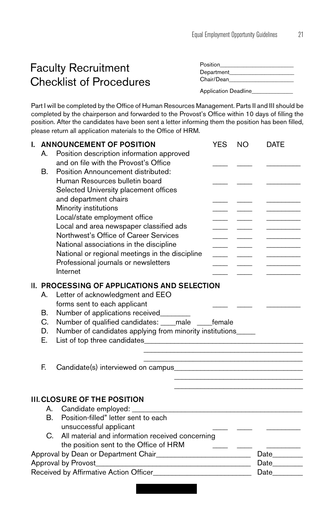## Faculty Recruitment Checklist of Procedures

| Position    |  |
|-------------|--|
| Department_ |  |
| Chair/Dean  |  |
|             |  |

Application Deadline\_\_\_\_\_\_\_\_\_\_\_\_\_\_

Part I will be completed by the Office of Human Resources Management. Parts II and III should be completed by the chairperson and forwarded to the Provost's Office within 10 days of filling the position. After the candidates have been sent a letter informing them the position has been filled, please return all application materials to the Office of HRM.

| L.                                                                                                                                      | А.<br>В.                   | ANNOUNCEMENT OF POSITION<br>Position description information approved<br>and on file with the Provost's Office<br>Position Announcement distributed:<br>Human Resources bulletin board<br>Selected University placement offices<br>and department chairs<br>Minority institutions<br>Local/state employment office<br>Local and area newspaper classified ads<br>Northwest's Office of Career Services<br>National associations in the discipline<br>National or regional meetings in the discipline<br>Professional journals or newsletters<br>Internet | <b>YES</b><br><b>Contract Contract</b> | <b>NO</b><br><u>and the second second</u> | <b>DATE</b>                  |
|-----------------------------------------------------------------------------------------------------------------------------------------|----------------------------|----------------------------------------------------------------------------------------------------------------------------------------------------------------------------------------------------------------------------------------------------------------------------------------------------------------------------------------------------------------------------------------------------------------------------------------------------------------------------------------------------------------------------------------------------------|----------------------------------------|-------------------------------------------|------------------------------|
|                                                                                                                                         | А.<br>В.<br>C.<br>D.<br>Е. | II. PROCESSING OF APPLICATIONS AND SELECTION<br>Letter of acknowledgment and EEO<br>forms sent to each applicant<br>Number of applications received________<br>Number of qualified candidates: ____male ____female<br>Number of candidates applying from minority institutions<br>List of top three candidates <b>Example 2014</b>                                                                                                                                                                                                                       |                                        |                                           |                              |
|                                                                                                                                         | E.                         |                                                                                                                                                                                                                                                                                                                                                                                                                                                                                                                                                          |                                        |                                           |                              |
|                                                                                                                                         | В.                         | <b>III. CLOSURE OF THE POSITION</b><br>A. Candidate employed: ___<br>Position-filled" letter sent to each<br>unsuccessful applicant<br>C. All material and information received concerning<br>the position sent to the Office of HRM                                                                                                                                                                                                                                                                                                                     |                                        |                                           |                              |
| Approval by Dean or Department Chair<br>1990 - Approval by Dean or Department Chair<br>2001 - Alian Chair<br>Approval by Provost_______ |                            |                                                                                                                                                                                                                                                                                                                                                                                                                                                                                                                                                          |                                        |                                           | Date<br>Date________<br>Date |